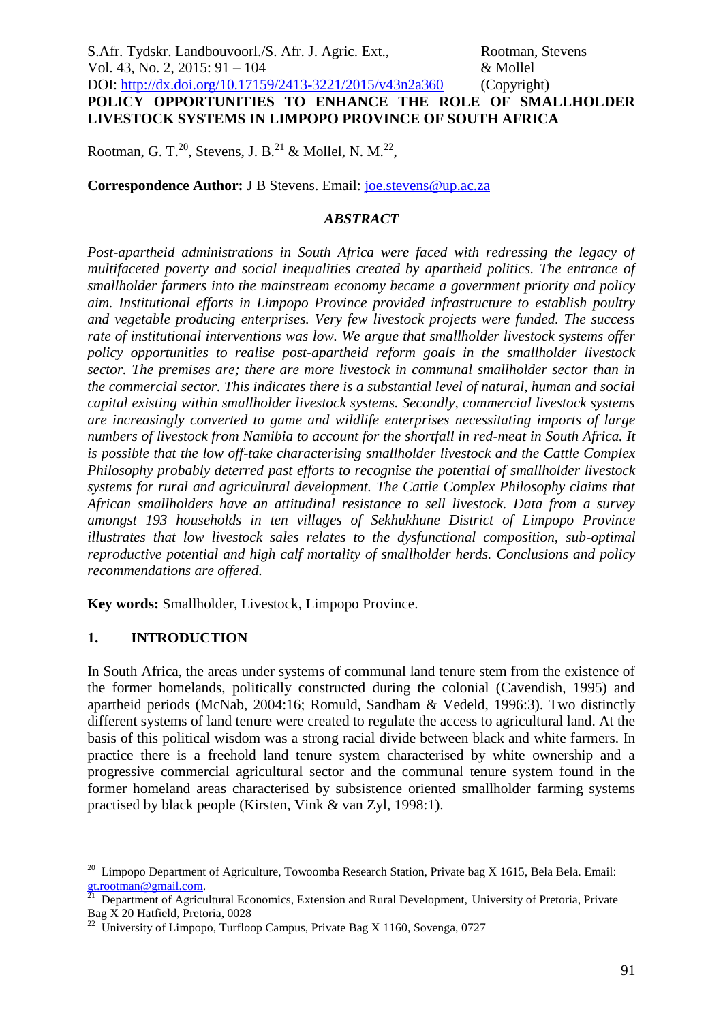Rootman, G. T.<sup>20</sup>, Stevens, J. B.<sup>21</sup> & Mollel, N. M.<sup>22</sup>,

**Correspondence Author:** J B Stevens. Email: [joe.stevens@up.ac.za](mailto:joe.stevens@up.ac.za)

### *ABSTRACT*

*Post-apartheid administrations in South Africa were faced with redressing the legacy of multifaceted poverty and social inequalities created by apartheid politics. The entrance of smallholder farmers into the mainstream economy became a government priority and policy aim. Institutional efforts in Limpopo Province provided infrastructure to establish poultry and vegetable producing enterprises. Very few livestock projects were funded. The success rate of institutional interventions was low. We argue that smallholder livestock systems offer policy opportunities to realise post-apartheid reform goals in the smallholder livestock sector. The premises are; there are more livestock in communal smallholder sector than in the commercial sector. This indicates there is a substantial level of natural, human and social capital existing within smallholder livestock systems. Secondly, commercial livestock systems are increasingly converted to game and wildlife enterprises necessitating imports of large numbers of livestock from Namibia to account for the shortfall in red-meat in South Africa. It is possible that the low off-take characterising smallholder livestock and the Cattle Complex Philosophy probably deterred past efforts to recognise the potential of smallholder livestock systems for rural and agricultural development. The Cattle Complex Philosophy claims that African smallholders have an attitudinal resistance to sell livestock. Data from a survey amongst 193 households in ten villages of Sekhukhune District of Limpopo Province illustrates that low livestock sales relates to the dysfunctional composition, sub-optimal reproductive potential and high calf mortality of smallholder herds. Conclusions and policy recommendations are offered.* 

**Key words:** Smallholder, Livestock, Limpopo Province.

# **1. INTRODUCTION**

In South Africa, the areas under systems of communal land tenure stem from the existence of the former homelands, politically constructed during the colonial (Cavendish, 1995) and apartheid periods (McNab, 2004:16; Romuld, Sandham & Vedeld, 1996:3). Two distinctly different systems of land tenure were created to regulate the access to agricultural land. At the basis of this political wisdom was a strong racial divide between black and white farmers. In practice there is a freehold land tenure system characterised by white ownership and a progressive commercial agricultural sector and the communal tenure system found in the former homeland areas characterised by subsistence oriented smallholder farming systems practised by black people (Kirsten, Vink & van Zyl, 1998:1).

 20 Limpopo Department of Agriculture, Towoomba Research Station, Private bag X 1615, Bela Bela. Email:

[gt.rootman@gmail.com.](mailto:gt.rootman@gmail.com) 21 Department of Agricultural Economics, Extension and Rural Development, University of Pretoria, Private Bag X 20 Hatfield, Pretoria, 0028

 $^{22}$  University of Limpopo, Turfloop Campus, Private Bag X 1160, Sovenga, 0727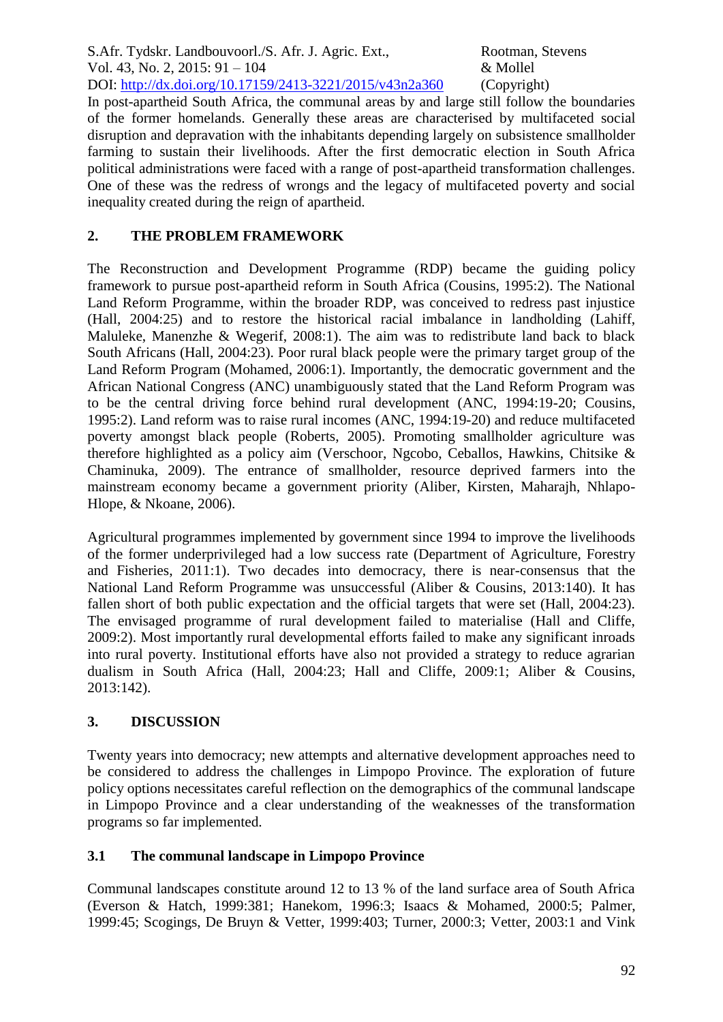In post-apartheid South Africa, the communal areas by and large still follow the boundaries of the former homelands. Generally these areas are characterised by multifaceted social disruption and depravation with the inhabitants depending largely on subsistence smallholder farming to sustain their livelihoods. After the first democratic election in South Africa political administrations were faced with a range of post-apartheid transformation challenges. One of these was the redress of wrongs and the legacy of multifaceted poverty and social inequality created during the reign of apartheid.

## **2. THE PROBLEM FRAMEWORK**

The Reconstruction and Development Programme (RDP) became the guiding policy framework to pursue post-apartheid reform in South Africa (Cousins, 1995:2). The National Land Reform Programme, within the broader RDP, was conceived to redress past injustice (Hall, 2004:25) and to restore the historical racial imbalance in landholding (Lahiff, Maluleke, Manenzhe & Wegerif, 2008:1). The aim was to redistribute land back to black South Africans (Hall, 2004:23). Poor rural black people were the primary target group of the Land Reform Program (Mohamed, 2006:1). Importantly, the democratic government and the African National Congress (ANC) unambiguously stated that the Land Reform Program was to be the central driving force behind rural development (ANC, 1994:19-20; Cousins, 1995:2). Land reform was to raise rural incomes (ANC, 1994:19-20) and reduce multifaceted poverty amongst black people (Roberts, 2005). Promoting smallholder agriculture was therefore highlighted as a policy aim (Verschoor, Ngcobo, Ceballos, Hawkins, Chitsike & Chaminuka, 2009). The entrance of smallholder, resource deprived farmers into the mainstream economy became a government priority (Aliber, Kirsten, Maharajh, Nhlapo-Hlope, & Nkoane, 2006).

Agricultural programmes implemented by government since 1994 to improve the livelihoods of the former underprivileged had a low success rate (Department of Agriculture, Forestry and Fisheries, 2011:1). Two decades into democracy, there is near-consensus that the National Land Reform Programme was unsuccessful (Aliber & Cousins, 2013:140). It has fallen short of both public expectation and the official targets that were set (Hall, 2004:23). The envisaged programme of rural development failed to materialise (Hall and Cliffe, 2009:2). Most importantly rural developmental efforts failed to make any significant inroads into rural poverty. Institutional efforts have also not provided a strategy to reduce agrarian dualism in South Africa (Hall, 2004:23; Hall and Cliffe, 2009:1; Aliber & Cousins, 2013:142).

# **3. DISCUSSION**

Twenty years into democracy; new attempts and alternative development approaches need to be considered to address the challenges in Limpopo Province. The exploration of future policy options necessitates careful reflection on the demographics of the communal landscape in Limpopo Province and a clear understanding of the weaknesses of the transformation programs so far implemented.

### **3.1 The communal landscape in Limpopo Province**

Communal landscapes constitute around 12 to 13 % of the land surface area of South Africa (Everson & Hatch, 1999:381; Hanekom, 1996:3; Isaacs & Mohamed, 2000:5; Palmer, 1999:45; Scogings, De Bruyn & Vetter, 1999:403; Turner, 2000:3; Vetter, 2003:1 and Vink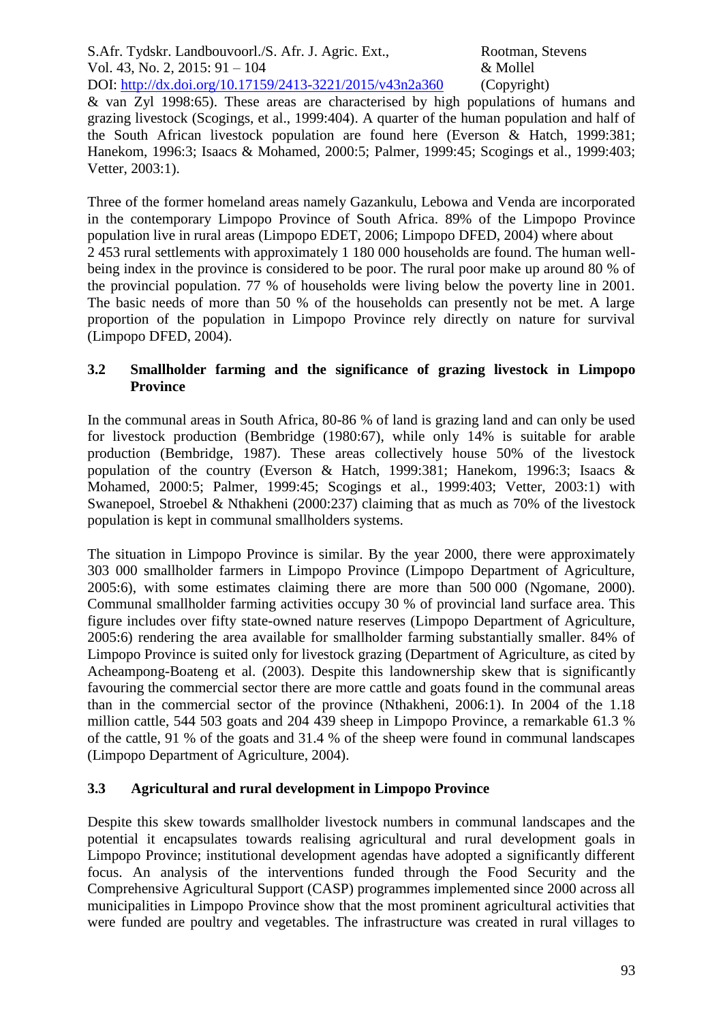& van Zyl 1998:65). These areas are characterised by high populations of humans and grazing livestock (Scogings, et al., 1999:404). A quarter of the human population and half of the South African livestock population are found here (Everson & Hatch, 1999:381; Hanekom, 1996:3; Isaacs & Mohamed, 2000:5; Palmer, 1999:45; Scogings et al., 1999:403; Vetter, 2003:1).

Three of the former homeland areas namely Gazankulu, Lebowa and Venda are incorporated in the contemporary Limpopo Province of South Africa. 89% of the Limpopo Province population live in rural areas (Limpopo EDET, 2006; Limpopo DFED, 2004) where about 2 453 rural settlements with approximately 1 180 000 households are found. The human wellbeing index in the province is considered to be poor. The rural poor make up around 80 % of the provincial population. 77 % of households were living below the poverty line in 2001. The basic needs of more than 50 % of the households can presently not be met. A large proportion of the population in Limpopo Province rely directly on nature for survival (Limpopo DFED, 2004).

## **3.2 Smallholder farming and the significance of grazing livestock in Limpopo Province**

In the communal areas in South Africa, 80-86 % of land is grazing land and can only be used for livestock production (Bembridge (1980:67), while only 14% is suitable for arable production (Bembridge, 1987). These areas collectively house 50% of the livestock population of the country (Everson & Hatch, 1999:381; Hanekom, 1996:3; Isaacs & Mohamed, 2000:5; Palmer, 1999:45; Scogings et al., 1999:403; Vetter, 2003:1) with Swanepoel, Stroebel & Nthakheni (2000:237) claiming that as much as 70% of the livestock population is kept in communal smallholders systems.

The situation in Limpopo Province is similar. By the year 2000, there were approximately 303 000 smallholder farmers in Limpopo Province (Limpopo Department of Agriculture, 2005:6), with some estimates claiming there are more than 500 000 (Ngomane, 2000). Communal smallholder farming activities occupy 30 % of provincial land surface area. This figure includes over fifty state-owned nature reserves (Limpopo Department of Agriculture, 2005:6) rendering the area available for smallholder farming substantially smaller. 84% of Limpopo Province is suited only for livestock grazing (Department of Agriculture, as cited by Acheampong-Boateng et al. (2003). Despite this landownership skew that is significantly favouring the commercial sector there are more cattle and goats found in the communal areas than in the commercial sector of the province (Nthakheni, 2006:1). In 2004 of the 1.18 million cattle, 544 503 goats and 204 439 sheep in Limpopo Province, a remarkable 61.3 % of the cattle, 91 % of the goats and 31.4 % of the sheep were found in communal landscapes (Limpopo Department of Agriculture, 2004).

# **3.3 Agricultural and rural development in Limpopo Province**

Despite this skew towards smallholder livestock numbers in communal landscapes and the potential it encapsulates towards realising agricultural and rural development goals in Limpopo Province; institutional development agendas have adopted a significantly different focus. An analysis of the interventions funded through the Food Security and the Comprehensive Agricultural Support (CASP) programmes implemented since 2000 across all municipalities in Limpopo Province show that the most prominent agricultural activities that were funded are poultry and vegetables. The infrastructure was created in rural villages to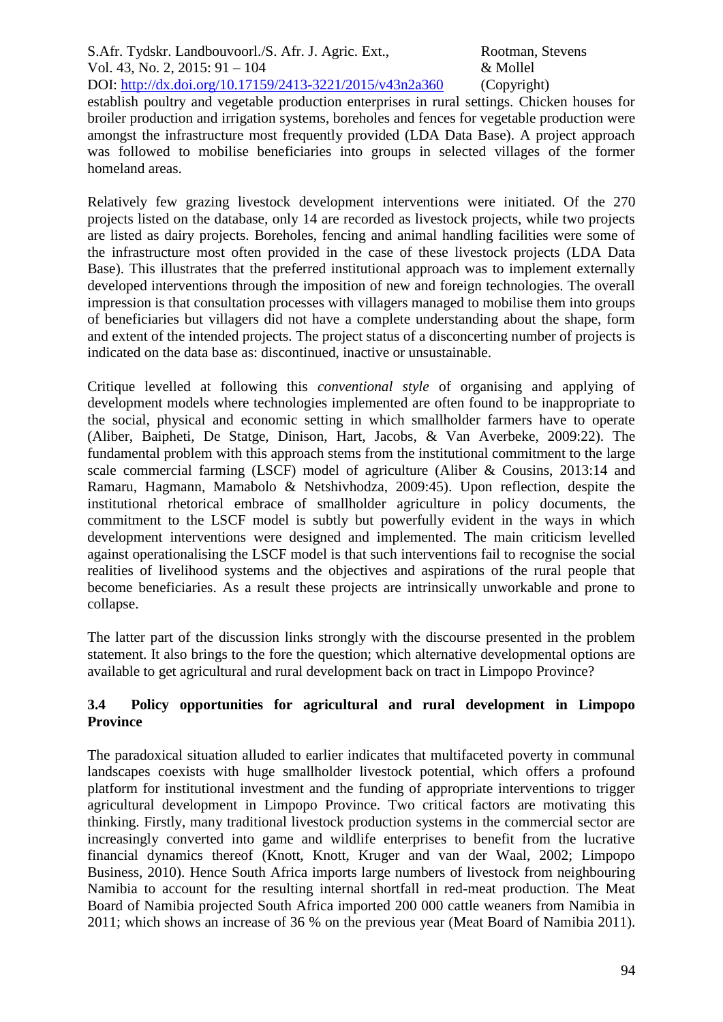establish poultry and vegetable production enterprises in rural settings. Chicken houses for broiler production and irrigation systems, boreholes and fences for vegetable production were amongst the infrastructure most frequently provided (LDA Data Base). A project approach was followed to mobilise beneficiaries into groups in selected villages of the former homeland areas.

Relatively few grazing livestock development interventions were initiated. Of the 270 projects listed on the database, only 14 are recorded as livestock projects, while two projects are listed as dairy projects. Boreholes, fencing and animal handling facilities were some of the infrastructure most often provided in the case of these livestock projects (LDA Data Base). This illustrates that the preferred institutional approach was to implement externally developed interventions through the imposition of new and foreign technologies. The overall impression is that consultation processes with villagers managed to mobilise them into groups of beneficiaries but villagers did not have a complete understanding about the shape, form and extent of the intended projects. The project status of a disconcerting number of projects is indicated on the data base as: discontinued, inactive or unsustainable.

Critique levelled at following this *conventional style* of organising and applying of development models where technologies implemented are often found to be inappropriate to the social, physical and economic setting in which smallholder farmers have to operate (Aliber, Baipheti, De Statge, Dinison, Hart, Jacobs, & Van Averbeke, 2009:22). The fundamental problem with this approach stems from the institutional commitment to the large scale commercial farming (LSCF) model of agriculture (Aliber & Cousins, 2013:14 and Ramaru, Hagmann, Mamabolo & Netshivhodza, 2009:45). Upon reflection, despite the institutional rhetorical embrace of smallholder agriculture in policy documents, the commitment to the LSCF model is subtly but powerfully evident in the ways in which development interventions were designed and implemented. The main criticism levelled against operationalising the LSCF model is that such interventions fail to recognise the social realities of livelihood systems and the objectives and aspirations of the rural people that become beneficiaries. As a result these projects are intrinsically unworkable and prone to collapse.

The latter part of the discussion links strongly with the discourse presented in the problem statement. It also brings to the fore the question; which alternative developmental options are available to get agricultural and rural development back on tract in Limpopo Province?

## **3.4 Policy opportunities for agricultural and rural development in Limpopo Province**

The paradoxical situation alluded to earlier indicates that multifaceted poverty in communal landscapes coexists with huge smallholder livestock potential, which offers a profound platform for institutional investment and the funding of appropriate interventions to trigger agricultural development in Limpopo Province. Two critical factors are motivating this thinking. Firstly, many traditional livestock production systems in the commercial sector are increasingly converted into game and wildlife enterprises to benefit from the lucrative financial dynamics thereof (Knott, Knott, Kruger and van der Waal, 2002; Limpopo Business, 2010). Hence South Africa imports large numbers of livestock from neighbouring Namibia to account for the resulting internal shortfall in red-meat production. The Meat Board of Namibia projected South Africa imported 200 000 cattle weaners from Namibia in 2011; which shows an increase of 36 % on the previous year (Meat Board of Namibia 2011).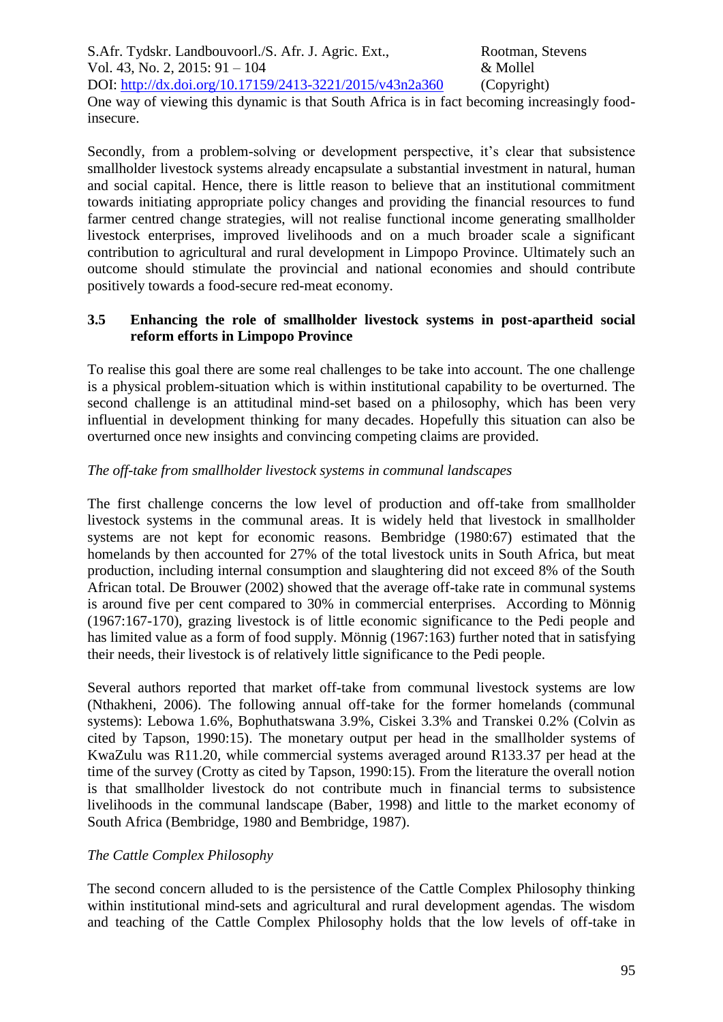One way of viewing this dynamic is that South Africa is in fact becoming increasingly foodinsecure.

Secondly, from a problem-solving or development perspective, it's clear that subsistence smallholder livestock systems already encapsulate a substantial investment in natural, human and social capital. Hence, there is little reason to believe that an institutional commitment towards initiating appropriate policy changes and providing the financial resources to fund farmer centred change strategies, will not realise functional income generating smallholder livestock enterprises, improved livelihoods and on a much broader scale a significant contribution to agricultural and rural development in Limpopo Province. Ultimately such an outcome should stimulate the provincial and national economies and should contribute positively towards a food-secure red-meat economy.

### **3.5 Enhancing the role of smallholder livestock systems in post-apartheid social reform efforts in Limpopo Province**

To realise this goal there are some real challenges to be take into account. The one challenge is a physical problem-situation which is within institutional capability to be overturned. The second challenge is an attitudinal mind-set based on a philosophy, which has been very influential in development thinking for many decades. Hopefully this situation can also be overturned once new insights and convincing competing claims are provided.

## *The off-take from smallholder livestock systems in communal landscapes*

The first challenge concerns the low level of production and off-take from smallholder livestock systems in the communal areas. It is widely held that livestock in smallholder systems are not kept for economic reasons. Bembridge (1980:67) estimated that the homelands by then accounted for 27% of the total livestock units in South Africa, but meat production, including internal consumption and slaughtering did not exceed 8% of the South African total. De Brouwer (2002) showed that the average off-take rate in communal systems is around five per cent compared to 30% in commercial enterprises. According to Mönnig (1967:167-170), grazing livestock is of little economic significance to the Pedi people and has limited value as a form of food supply. Mönnig (1967:163) further noted that in satisfying their needs, their livestock is of relatively little significance to the Pedi people.

Several authors reported that market off-take from communal livestock systems are low (Nthakheni, 2006). The following annual off-take for the former homelands (communal systems): Lebowa 1.6%, Bophuthatswana 3.9%, Ciskei 3.3% and Transkei 0.2% (Colvin as cited by Tapson, 1990:15). The monetary output per head in the smallholder systems of KwaZulu was R11.20, while commercial systems averaged around R133.37 per head at the time of the survey (Crotty as cited by Tapson, 1990:15). From the literature the overall notion is that smallholder livestock do not contribute much in financial terms to subsistence livelihoods in the communal landscape (Baber, 1998) and little to the market economy of South Africa (Bembridge, 1980 and Bembridge, 1987).

### *The Cattle Complex Philosophy*

The second concern alluded to is the persistence of the Cattle Complex Philosophy thinking within institutional mind-sets and agricultural and rural development agendas. The wisdom and teaching of the Cattle Complex Philosophy holds that the low levels of off-take in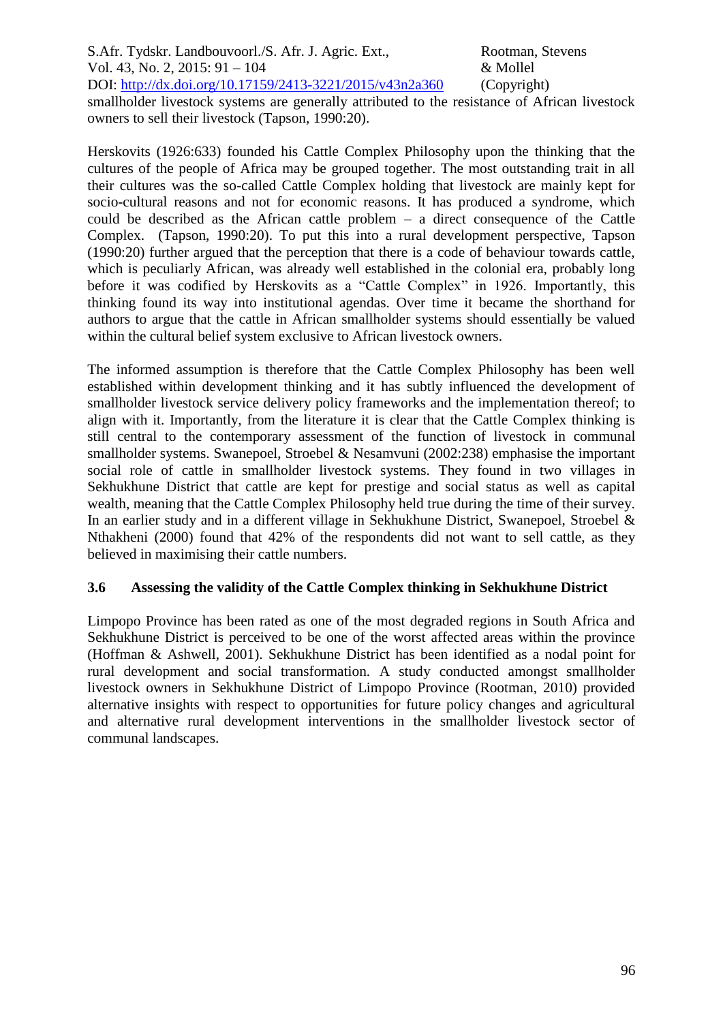S.Afr. Tydskr. Landbouvoorl./S. Afr. J. Agric. Ext., Rootman, Stevens Vol. 43, No. 2, 2015: 91 – 104 & Mollel DOI: http://dx.doi.org/10.17159/2413-3221/2015/v43n2a360 (Copyright) smallholder livestock systems are generally attributed to the resistance of African livestock owners to sell their livestock (Tapson, 1990:20).

Herskovits (1926:633) founded his Cattle Complex Philosophy upon the thinking that the cultures of the people of Africa may be grouped together. The most outstanding trait in all their cultures was the so-called Cattle Complex holding that livestock are mainly kept for socio-cultural reasons and not for economic reasons. It has produced a syndrome, which could be described as the African cattle problem – a direct consequence of the Cattle Complex. (Tapson, 1990:20). To put this into a rural development perspective, Tapson (1990:20) further argued that the perception that there is a code of behaviour towards cattle, which is peculiarly African, was already well established in the colonial era, probably long before it was codified by Herskovits as a "Cattle Complex" in 1926. Importantly, this thinking found its way into institutional agendas. Over time it became the shorthand for authors to argue that the cattle in African smallholder systems should essentially be valued within the cultural belief system exclusive to African livestock owners.

The informed assumption is therefore that the Cattle Complex Philosophy has been well established within development thinking and it has subtly influenced the development of smallholder livestock service delivery policy frameworks and the implementation thereof; to align with it. Importantly, from the literature it is clear that the Cattle Complex thinking is still central to the contemporary assessment of the function of livestock in communal smallholder systems. Swanepoel, Stroebel & Nesamvuni (2002:238) emphasise the important social role of cattle in smallholder livestock systems. They found in two villages in Sekhukhune District that cattle are kept for prestige and social status as well as capital wealth, meaning that the Cattle Complex Philosophy held true during the time of their survey. In an earlier study and in a different village in Sekhukhune District, Swanepoel, Stroebel & Nthakheni (2000) found that 42% of the respondents did not want to sell cattle, as they believed in maximising their cattle numbers.

### **3.6 Assessing the validity of the Cattle Complex thinking in Sekhukhune District**

Limpopo Province has been rated as one of the most degraded regions in South Africa and Sekhukhune District is perceived to be one of the worst affected areas within the province (Hoffman & Ashwell, 2001). Sekhukhune District has been identified as a nodal point for rural development and social transformation. A study conducted amongst smallholder livestock owners in Sekhukhune District of Limpopo Province (Rootman, 2010) provided alternative insights with respect to opportunities for future policy changes and agricultural and alternative rural development interventions in the smallholder livestock sector of communal landscapes.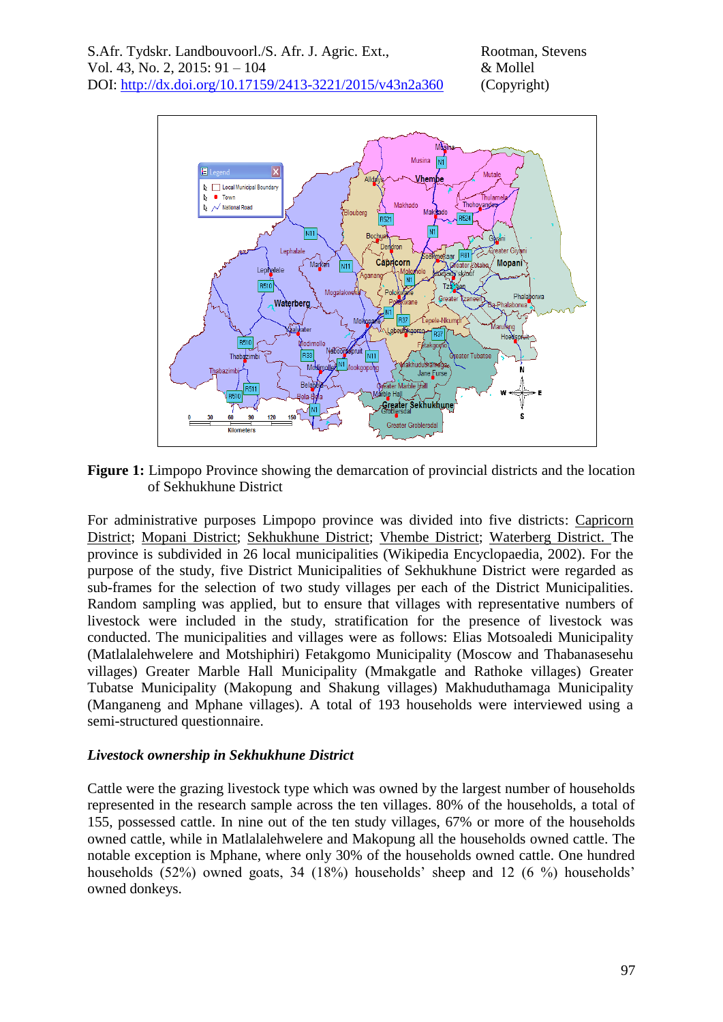

**Figure 1:** Limpopo Province showing the demarcation of provincial districts and the location of Sekhukhune District

For administrative purposes Limpopo province was divided into five districts: [Capricorn](http://en.wikipedia.org/w/index.php?title=Capricorn_District&action=edit)  [District;](http://en.wikipedia.org/w/index.php?title=Capricorn_District&action=edit) [Mopani District;](http://en.wikipedia.org/w/index.php?title=Mopani_District&action=edit) [Sekhukhune District;](http://en.wikipedia.org/w/index.php?title=Sekhukhune_District&action=edit) [Vhembe District;](http://en.wikipedia.org/w/index.php?title=Vhembe_District&action=edit) [Waterberg District.](http://en.wikipedia.org/w/index.php?title=Waterberg_District&action=edit) The province is subdivided in 26 local municipalities (Wikipedia Encyclopaedia, 2002). For the purpose of the study, five District Municipalities of Sekhukhune District were regarded as sub-frames for the selection of two study villages per each of the District Municipalities. Random sampling was applied, but to ensure that villages with representative numbers of livestock were included in the study, stratification for the presence of livestock was conducted. The municipalities and villages were as follows: Elias Motsoaledi Municipality (Matlalalehwelere and Motshiphiri) Fetakgomo Municipality (Moscow and Thabanasesehu villages) Greater Marble Hall Municipality (Mmakgatle and Rathoke villages) Greater Tubatse Municipality (Makopung and Shakung villages) Makhuduthamaga Municipality (Manganeng and Mphane villages). A total of 193 households were interviewed using a semi-structured questionnaire.

#### *Livestock ownership in Sekhukhune District*

Cattle were the grazing livestock type which was owned by the largest number of households represented in the research sample across the ten villages. 80% of the households, a total of 155, possessed cattle. In nine out of the ten study villages, 67% or more of the households owned cattle, while in Matlalalehwelere and Makopung all the households owned cattle. The notable exception is Mphane, where only 30% of the households owned cattle. One hundred households (52%) owned goats, 34 (18%) households' sheep and 12 (6 %) households' owned donkeys.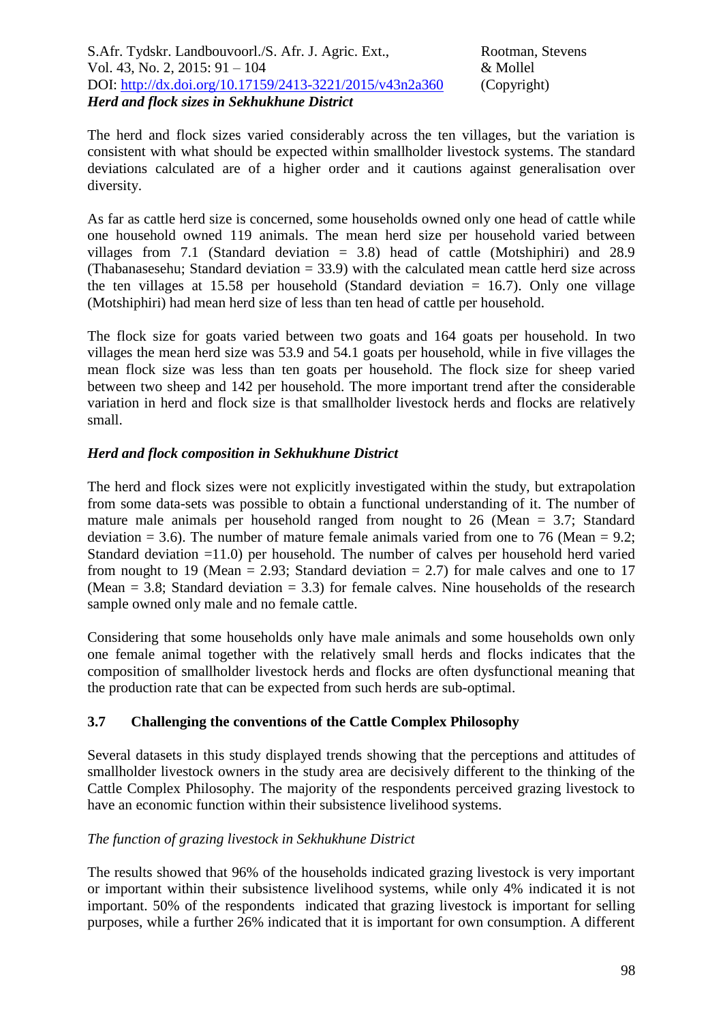The herd and flock sizes varied considerably across the ten villages, but the variation is consistent with what should be expected within smallholder livestock systems. The standard deviations calculated are of a higher order and it cautions against generalisation over diversity.

As far as cattle herd size is concerned, some households owned only one head of cattle while one household owned 119 animals. The mean herd size per household varied between villages from 7.1 (Standard deviation = 3.8) head of cattle (Motshiphiri) and 28.9 (Thabanasesehu; Standard deviation  $= 33.9$ ) with the calculated mean cattle herd size across the ten villages at 15.58 per household (Standard deviation  $= 16.7$ ). Only one village (Motshiphiri) had mean herd size of less than ten head of cattle per household.

The flock size for goats varied between two goats and 164 goats per household. In two villages the mean herd size was 53.9 and 54.1 goats per household, while in five villages the mean flock size was less than ten goats per household. The flock size for sheep varied between two sheep and 142 per household. The more important trend after the considerable variation in herd and flock size is that smallholder livestock herds and flocks are relatively small.

## *Herd and flock composition in Sekhukhune District*

The herd and flock sizes were not explicitly investigated within the study, but extrapolation from some data-sets was possible to obtain a functional understanding of it. The number of mature male animals per household ranged from nought to 26 (Mean = 3.7; Standard deviation  $= 3.6$ ). The number of mature female animals varied from one to 76 (Mean  $= 9.2$ ; Standard deviation =11.0) per household. The number of calves per household herd varied from nought to 19 (Mean  $= 2.93$ ; Standard deviation  $= 2.7$ ) for male calves and one to 17 (Mean  $= 3.8$ ; Standard deviation  $= 3.3$ ) for female calves. Nine households of the research sample owned only male and no female cattle.

Considering that some households only have male animals and some households own only one female animal together with the relatively small herds and flocks indicates that the composition of smallholder livestock herds and flocks are often dysfunctional meaning that the production rate that can be expected from such herds are sub-optimal.

### **3.7 Challenging the conventions of the Cattle Complex Philosophy**

Several datasets in this study displayed trends showing that the perceptions and attitudes of smallholder livestock owners in the study area are decisively different to the thinking of the Cattle Complex Philosophy. The majority of the respondents perceived grazing livestock to have an economic function within their subsistence livelihood systems.

### *The function of grazing livestock in Sekhukhune District*

The results showed that 96% of the households indicated grazing livestock is very important or important within their subsistence livelihood systems, while only 4% indicated it is not important. 50% of the respondents indicated that grazing livestock is important for selling purposes, while a further 26% indicated that it is important for own consumption. A different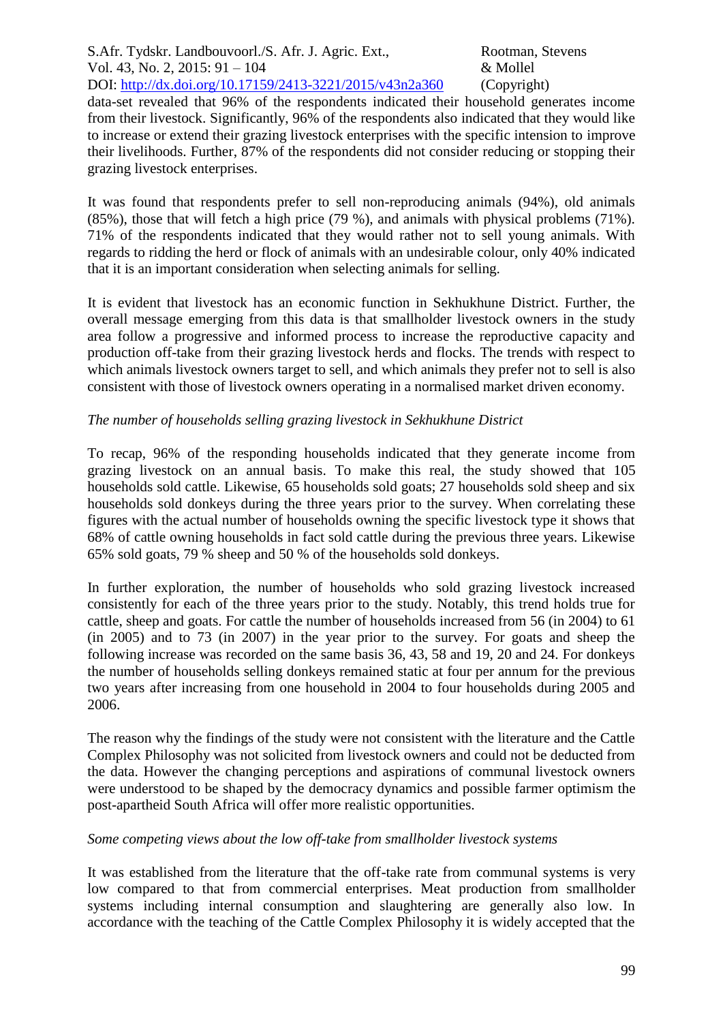data-set revealed that 96% of the respondents indicated their household generates income from their livestock. Significantly, 96% of the respondents also indicated that they would like to increase or extend their grazing livestock enterprises with the specific intension to improve their livelihoods. Further, 87% of the respondents did not consider reducing or stopping their grazing livestock enterprises.

It was found that respondents prefer to sell non-reproducing animals (94%), old animals (85%), those that will fetch a high price (79 %), and animals with physical problems (71%). 71% of the respondents indicated that they would rather not to sell young animals. With regards to ridding the herd or flock of animals with an undesirable colour, only 40% indicated that it is an important consideration when selecting animals for selling.

It is evident that livestock has an economic function in Sekhukhune District. Further, the overall message emerging from this data is that smallholder livestock owners in the study area follow a progressive and informed process to increase the reproductive capacity and production off-take from their grazing livestock herds and flocks. The trends with respect to which animals livestock owners target to sell, and which animals they prefer not to sell is also consistent with those of livestock owners operating in a normalised market driven economy.

### *The number of households selling grazing livestock in Sekhukhune District*

To recap, 96% of the responding households indicated that they generate income from grazing livestock on an annual basis. To make this real, the study showed that 105 households sold cattle. Likewise, 65 households sold goats; 27 households sold sheep and six households sold donkeys during the three years prior to the survey. When correlating these figures with the actual number of households owning the specific livestock type it shows that 68% of cattle owning households in fact sold cattle during the previous three years. Likewise 65% sold goats, 79 % sheep and 50 % of the households sold donkeys.

In further exploration, the number of households who sold grazing livestock increased consistently for each of the three years prior to the study. Notably, this trend holds true for cattle, sheep and goats. For cattle the number of households increased from 56 (in 2004) to 61 (in 2005) and to 73 (in 2007) in the year prior to the survey. For goats and sheep the following increase was recorded on the same basis 36, 43, 58 and 19, 20 and 24. For donkeys the number of households selling donkeys remained static at four per annum for the previous two years after increasing from one household in 2004 to four households during 2005 and 2006.

The reason why the findings of the study were not consistent with the literature and the Cattle Complex Philosophy was not solicited from livestock owners and could not be deducted from the data. However the changing perceptions and aspirations of communal livestock owners were understood to be shaped by the democracy dynamics and possible farmer optimism the post-apartheid South Africa will offer more realistic opportunities.

### *Some competing views about the low off-take from smallholder livestock systems*

It was established from the literature that the off-take rate from communal systems is very low compared to that from commercial enterprises. Meat production from smallholder systems including internal consumption and slaughtering are generally also low. In accordance with the teaching of the Cattle Complex Philosophy it is widely accepted that the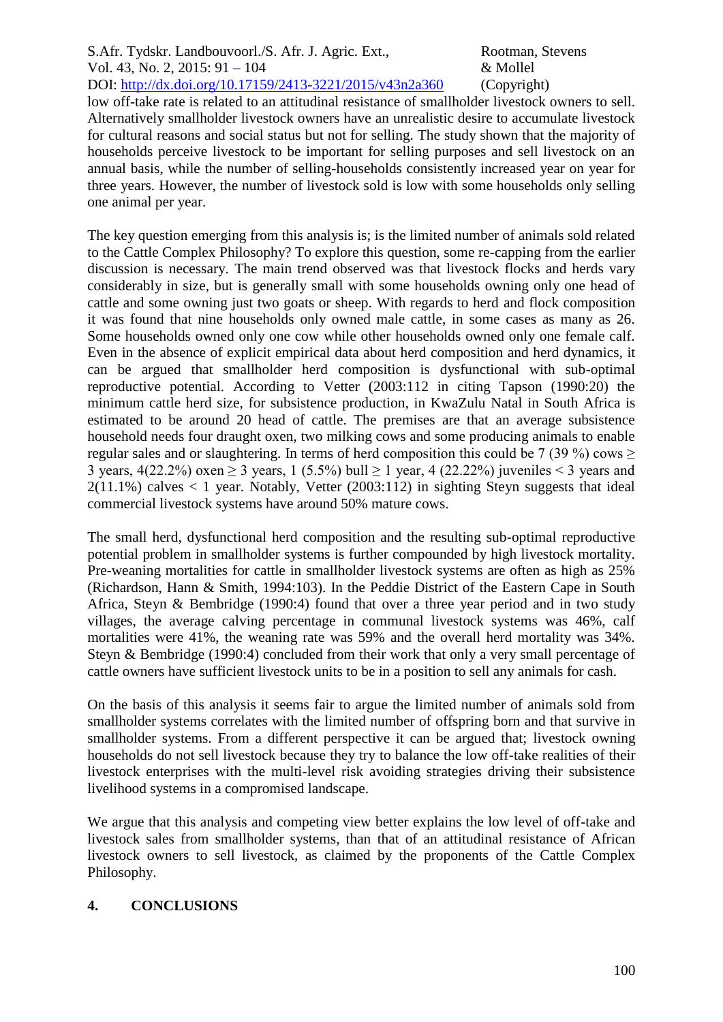low off-take rate is related to an attitudinal resistance of smallholder livestock owners to sell. Alternatively smallholder livestock owners have an unrealistic desire to accumulate livestock for cultural reasons and social status but not for selling. The study shown that the majority of households perceive livestock to be important for selling purposes and sell livestock on an annual basis, while the number of selling-households consistently increased year on year for three years. However, the number of livestock sold is low with some households only selling one animal per year.

The key question emerging from this analysis is; is the limited number of animals sold related to the Cattle Complex Philosophy? To explore this question, some re-capping from the earlier discussion is necessary. The main trend observed was that livestock flocks and herds vary considerably in size, but is generally small with some households owning only one head of cattle and some owning just two goats or sheep. With regards to herd and flock composition it was found that nine households only owned male cattle, in some cases as many as 26. Some households owned only one cow while other households owned only one female calf. Even in the absence of explicit empirical data about herd composition and herd dynamics, it can be argued that smallholder herd composition is dysfunctional with sub-optimal reproductive potential. According to Vetter (2003:112 in citing Tapson (1990:20) the minimum cattle herd size, for subsistence production, in KwaZulu Natal in South Africa is estimated to be around 20 head of cattle. The premises are that an average subsistence household needs four draught oxen, two milking cows and some producing animals to enable regular sales and or slaughtering. In terms of herd composition this could be 7 (39 %) cows  $\ge$ 3 years,  $4(22.2\%)$  oxen  $\geq 3$  years, 1 (5.5%) bull  $\geq 1$  year, 4 (22.22%) juveniles < 3 years and  $2(11.1\%)$  calves  $\lt 1$  year. Notably, Vetter (2003:112) in sighting Stevn suggests that ideal commercial livestock systems have around 50% mature cows.

The small herd, dysfunctional herd composition and the resulting sub-optimal reproductive potential problem in smallholder systems is further compounded by high livestock mortality. Pre-weaning mortalities for cattle in smallholder livestock systems are often as high as 25% (Richardson, Hann & Smith, 1994:103). In the Peddie District of the Eastern Cape in South Africa, Steyn & Bembridge (1990:4) found that over a three year period and in two study villages, the average calving percentage in communal livestock systems was 46%, calf mortalities were 41%, the weaning rate was 59% and the overall herd mortality was 34%. Steyn & Bembridge (1990:4) concluded from their work that only a very small percentage of cattle owners have sufficient livestock units to be in a position to sell any animals for cash.

On the basis of this analysis it seems fair to argue the limited number of animals sold from smallholder systems correlates with the limited number of offspring born and that survive in smallholder systems. From a different perspective it can be argued that; livestock owning households do not sell livestock because they try to balance the low off-take realities of their livestock enterprises with the multi-level risk avoiding strategies driving their subsistence livelihood systems in a compromised landscape.

We argue that this analysis and competing view better explains the low level of off-take and livestock sales from smallholder systems, than that of an attitudinal resistance of African livestock owners to sell livestock, as claimed by the proponents of the Cattle Complex Philosophy.

### **4. CONCLUSIONS**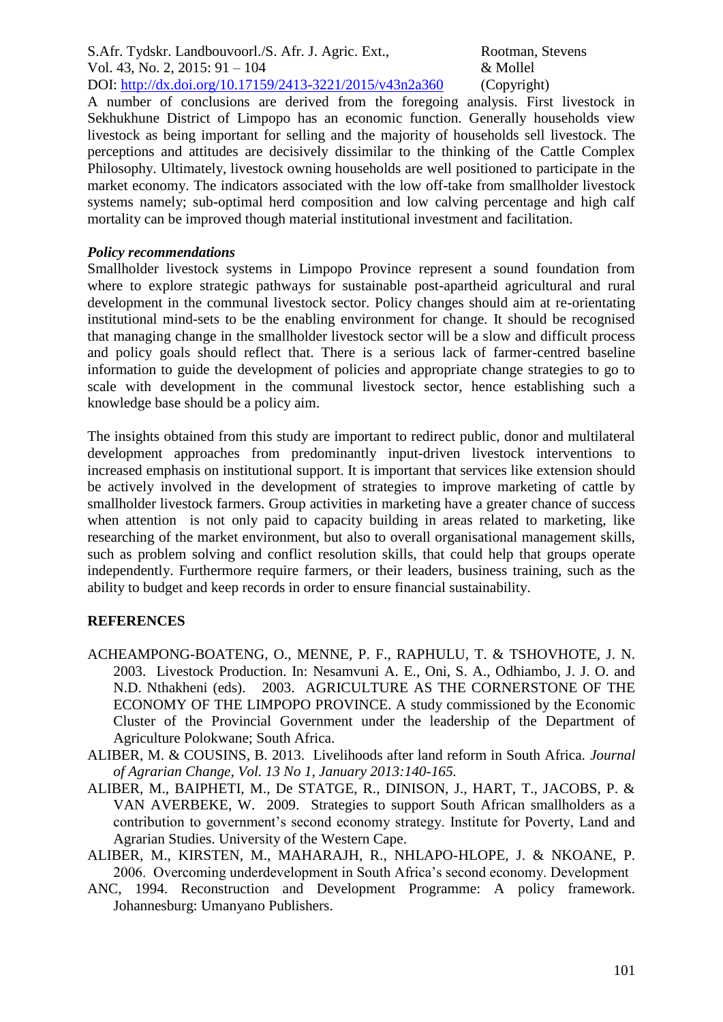A number of conclusions are derived from the foregoing analysis. First livestock in Sekhukhune District of Limpopo has an economic function. Generally households view livestock as being important for selling and the majority of households sell livestock. The perceptions and attitudes are decisively dissimilar to the thinking of the Cattle Complex Philosophy. Ultimately, livestock owning households are well positioned to participate in the market economy. The indicators associated with the low off-take from smallholder livestock systems namely; sub-optimal herd composition and low calving percentage and high calf mortality can be improved though material institutional investment and facilitation.

#### *Policy recommendations*

Smallholder livestock systems in Limpopo Province represent a sound foundation from where to explore strategic pathways for sustainable post-apartheid agricultural and rural development in the communal livestock sector. Policy changes should aim at re-orientating institutional mind-sets to be the enabling environment for change. It should be recognised that managing change in the smallholder livestock sector will be a slow and difficult process and policy goals should reflect that. There is a serious lack of farmer-centred baseline information to guide the development of policies and appropriate change strategies to go to scale with development in the communal livestock sector, hence establishing such a knowledge base should be a policy aim.

The insights obtained from this study are important to redirect public, donor and multilateral development approaches from predominantly input-driven livestock interventions to increased emphasis on institutional support. It is important that services like extension should be actively involved in the development of strategies to improve marketing of cattle by smallholder livestock farmers. Group activities in marketing have a greater chance of success when attention is not only paid to capacity building in areas related to marketing, like researching of the market environment, but also to overall organisational management skills, such as problem solving and conflict resolution skills, that could help that groups operate independently. Furthermore require farmers, or their leaders, business training, such as the ability to budget and keep records in order to ensure financial sustainability.

### **REFERENCES**

- ACHEAMPONG-BOATENG, O., MENNE, P. F., RAPHULU, T. & TSHOVHOTE, J. N. 2003. Livestock Production. In: Nesamvuni A. E., Oni, S. A., Odhiambo, J. J. O. and N.D. Nthakheni (eds). 2003. AGRICULTURE AS THE CORNERSTONE OF THE ECONOMY OF THE LIMPOPO PROVINCE. A study commissioned by the Economic Cluster of the Provincial Government under the leadership of the Department of Agriculture Polokwane; South Africa.
- ALIBER, M. & COUSINS, B. 2013. Livelihoods after land reform in South Africa. *Journal of Agrarian Change, Vol. 13 No 1, January 2013:140-165.*
- ALIBER, M., BAIPHETI, M., De STATGE, R., DINISON, J., HART, T., JACOBS, P. & VAN AVERBEKE, W. 2009. Strategies to support South African smallholders as a contribution to government's second economy strategy. Institute for Poverty, Land and Agrarian Studies. University of the Western Cape.
- ALIBER, M., KIRSTEN, M., MAHARAJH, R., NHLAPO-HLOPE, J. & NKOANE, P. 2006. Overcoming underdevelopment in South Africa's second economy. Development
- ANC, 1994. Reconstruction and Development Programme: A policy framework. Johannesburg: Umanyano Publishers.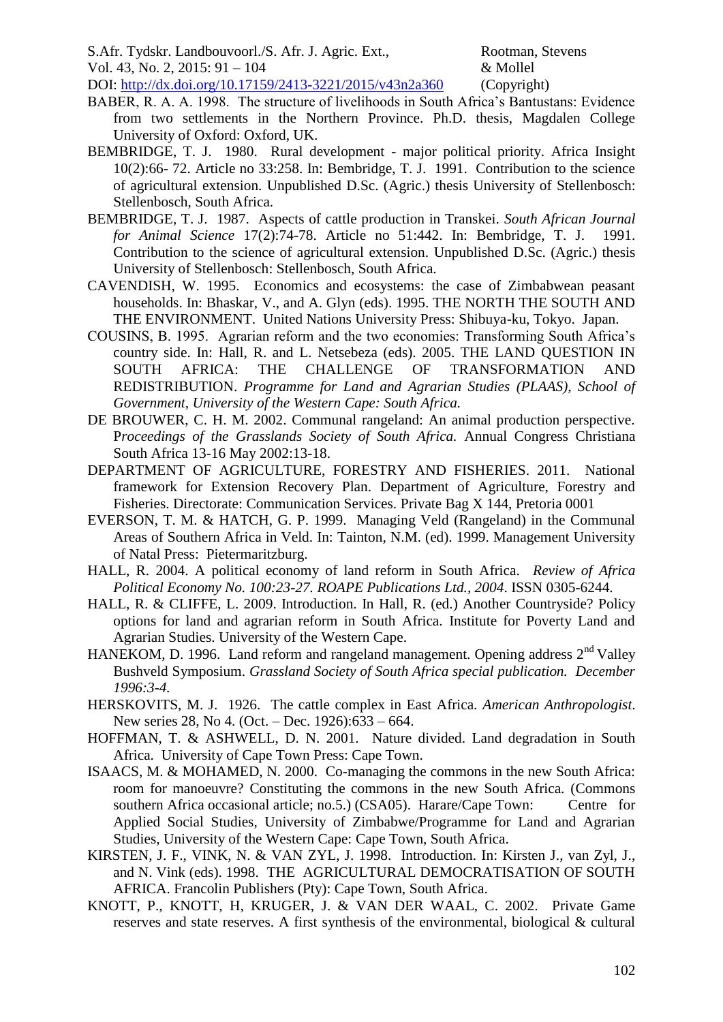S.Afr. Tydskr. Landbouvoorl./S. Afr. J. Agric. Ext., Rootman, Stevens

Vol. 43, No. 2, 2015: 91 – 104 & Mollel

DOI: http://dx.doi.org/10.17159/2413-3221/2015/v43n2a360 (Copyright)

- BABER, R. A. A. 1998. The structure of livelihoods in South Africa's Bantustans: Evidence from two settlements in the Northern Province. Ph.D. thesis, Magdalen College University of Oxford: Oxford, UK.
- BEMBRIDGE, T. J. 1980. Rural development major political priority. Africa Insight 10(2):66- 72. Article no 33:258. In: Bembridge, T. J. 1991. Contribution to the science of agricultural extension. Unpublished D.Sc. (Agric.) thesis University of Stellenbosch: Stellenbosch, South Africa.
- BEMBRIDGE, T. J. 1987. Aspects of cattle production in Transkei. *South African Journal for Animal Science* 17(2):74-78. Article no 51:442. In: Bembridge, T. J. 1991. Contribution to the science of agricultural extension. Unpublished D.Sc. (Agric.) thesis University of Stellenbosch: Stellenbosch, South Africa.
- CAVENDISH, W. 1995. Economics and ecosystems: the case of Zimbabwean peasant households. In: Bhaskar, V., and A. Glyn (eds). 1995. THE NORTH THE SOUTH AND THE ENVIRONMENT. United Nations University Press: Shibuya-ku, Tokyo. Japan.
- COUSINS, B. 1995. Agrarian reform and the two economies: Transforming South Africa's country side. In: Hall, R. and L. Netsebeza (eds). 2005. THE LAND QUESTION IN SOUTH AFRICA: THE CHALLENGE OF TRANSFORMATION AND REDISTRIBUTION. *Programme for Land and Agrarian Studies (PLAAS), School of Government, University of the Western Cape: South Africa.*
- DE BROUWER, C. H. M. 2002. Communal rangeland: An animal production perspective. P*roceedings of the Grasslands Society of South Africa.* Annual Congress Christiana South Africa 13-16 May 2002:13-18.
- DEPARTMENT OF AGRICULTURE, FORESTRY AND FISHERIES. 2011. National framework for Extension Recovery Plan. Department of Agriculture, Forestry and Fisheries. Directorate: Communication Services. Private Bag X 144, Pretoria 0001
- EVERSON, T. M. & HATCH, G. P. 1999. Managing Veld (Rangeland) in the Communal Areas of Southern Africa in Veld. In: Tainton, N.M. (ed). 1999. Management University of Natal Press: Pietermaritzburg.
- HALL, R. 2004. A political economy of land reform in South Africa. *Review of Africa Political Economy No. 100:23-27. ROAPE Publications Ltd., 2004*. ISSN 0305-6244.
- HALL, R. & CLIFFE, L. 2009. Introduction. In Hall, R. (ed.) Another Countryside? Policy options for land and agrarian reform in South Africa. Institute for Poverty Land and Agrarian Studies. University of the Western Cape.
- HANEKOM, D. 1996. Land reform and rangeland management. Opening address 2<sup>nd</sup> Valley Bushveld Symposium. *Grassland Society of South Africa special publication. December 1996:3-4.*
- HERSKOVITS, M. J. 1926. The cattle complex in East Africa. *American Anthropologist*. New series 28, No 4. (Oct. – Dec. 1926):633 – 664.
- HOFFMAN, T. & ASHWELL, D. N. 2001. Nature divided. Land degradation in South Africa. University of Cape Town Press: Cape Town.
- ISAACS, M. & MOHAMED, N. 2000. Co-managing the commons in the new South Africa: room for manoeuvre? Constituting the commons in the new South Africa. (Commons southern Africa occasional article; no.5.) (CSA05). Harare/Cape Town: Centre for Applied Social Studies, University of Zimbabwe/Programme for Land and Agrarian Studies, University of the Western Cape: Cape Town, South Africa.
- KIRSTEN, J. F., VINK, N. & VAN ZYL, J. 1998. Introduction. In: Kirsten J., van Zyl, J., and N. Vink (eds). 1998. THE AGRICULTURAL DEMOCRATISATION OF SOUTH AFRICA. Francolin Publishers (Pty): Cape Town, South Africa.
- KNOTT, P., KNOTT, H, KRUGER, J. & VAN DER WAAL, C. 2002. Private Game reserves and state reserves. A first synthesis of the environmental, biological & cultural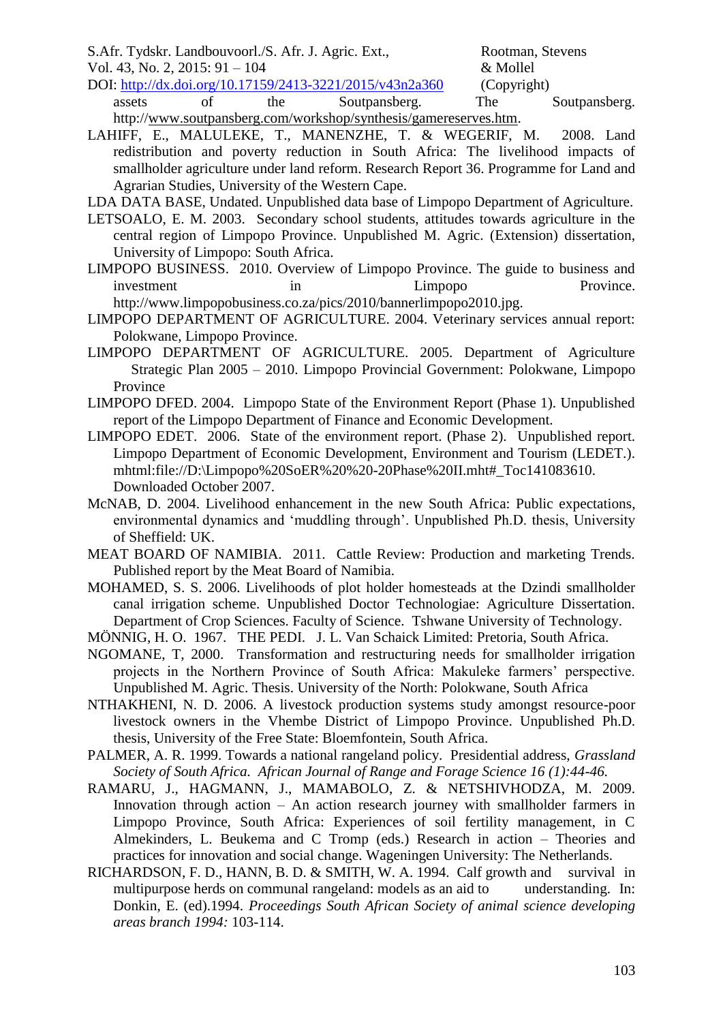S.Afr. Tydskr. Landbouvoorl./S. Afr. J. Agric. Ext., Rootman, Stevens Vol. 43, No. 2, 2015:  $91 - 104$  & Mollel

DOI: http://dx.doi.org/10.17159/2413-3221/2015/v43n2a360 (Copyright) assets of the Soutpansberg. The Soutpansberg. http:/[/www.soutpansberg.com/workshop/synthesis/gamereserves.htm.](http://www.soutpansberg.com/workshop/synthesis/game%20reserves.htm)

- LAHIFF, E., MALULEKE, T., MANENZHE, T. & WEGERIF, M. 2008. Land redistribution and poverty reduction in South Africa: The livelihood impacts of smallholder agriculture under land reform. Research Report 36. Programme for Land and Agrarian Studies, University of the Western Cape.
- LDA DATA BASE, Undated. Unpublished data base of Limpopo Department of Agriculture.
- LETSOALO, E. M. 2003. Secondary school students, attitudes towards agriculture in the central region of Limpopo Province. Unpublished M. Agric. (Extension) dissertation, University of Limpopo: South Africa.
- LIMPOPO BUSINESS. 2010. Overview of Limpopo Province. The guide to business and investment in the Limpopo Province. http://www.limpopobusiness.co.za/pics/2010/bannerlimpopo2010.jpg.
- LIMPOPO DEPARTMENT OF AGRICULTURE. 2004. Veterinary services annual report: Polokwane, Limpopo Province.
- LIMPOPO DEPARTMENT OF AGRICULTURE. 2005. Department of Agriculture Strategic Plan 2005 – 2010. Limpopo Provincial Government: Polokwane, Limpopo Province
- LIMPOPO DFED. 2004. Limpopo State of the Environment Report (Phase 1). Unpublished report of the Limpopo Department of Finance and Economic Development.
- LIMPOPO EDET. 2006. State of the environment report. (Phase 2). Unpublished report. Limpopo Department of Economic Development, Environment and Tourism (LEDET.). mhtml:file://D:\Limpopo%20SoER%20%20-20Phase%20II.mht#\_Toc141083610. Downloaded October 2007.
- McNAB, D. 2004. Livelihood enhancement in the new South Africa: Public expectations, environmental dynamics and 'muddling through'. Unpublished Ph.D. thesis, University of Sheffield: UK.
- MEAT BOARD OF NAMIBIA. 2011. Cattle Review: Production and marketing Trends. Published report by the Meat Board of Namibia.
- MOHAMED, S. S. 2006. Livelihoods of plot holder homesteads at the Dzindi smallholder canal irrigation scheme. Unpublished Doctor Technologiae: Agriculture Dissertation. Department of Crop Sciences. Faculty of Science. Tshwane University of Technology.
- MÖNNIG, H. O. 1967. THE PEDI. J. L. Van Schaick Limited: Pretoria, South Africa.
- NGOMANE, T, 2000. Transformation and restructuring needs for smallholder irrigation projects in the Northern Province of South Africa: Makuleke farmers' perspective. Unpublished M. Agric. Thesis. University of the North: Polokwane, South Africa
- NTHAKHENI, N. D. 2006. A livestock production systems study amongst resource-poor livestock owners in the Vhembe District of Limpopo Province. Unpublished Ph.D. thesis, University of the Free State: Bloemfontein, South Africa.
- PALMER, A. R. 1999. Towards a national rangeland policy. Presidential address, *Grassland Society of South Africa. African Journal of Range and Forage Science 16 (1):44-46.*
- RAMARU, J., HAGMANN, J., MAMABOLO, Z. & NETSHIVHODZA, M. 2009. Innovation through action – An action research journey with smallholder farmers in Limpopo Province, South Africa: Experiences of soil fertility management, in C Almekinders, L. Beukema and C Tromp (eds.) Research in action – Theories and practices for innovation and social change. Wageningen University: The Netherlands.
- RICHARDSON, F. D., HANN, B. D. & SMITH, W. A. 1994. Calf growth and survival in multipurpose herds on communal rangeland: models as an aid to understanding. In: Donkin, E. (ed).1994. *Proceedings South African Society of animal science developing areas branch 1994:* 103-114.